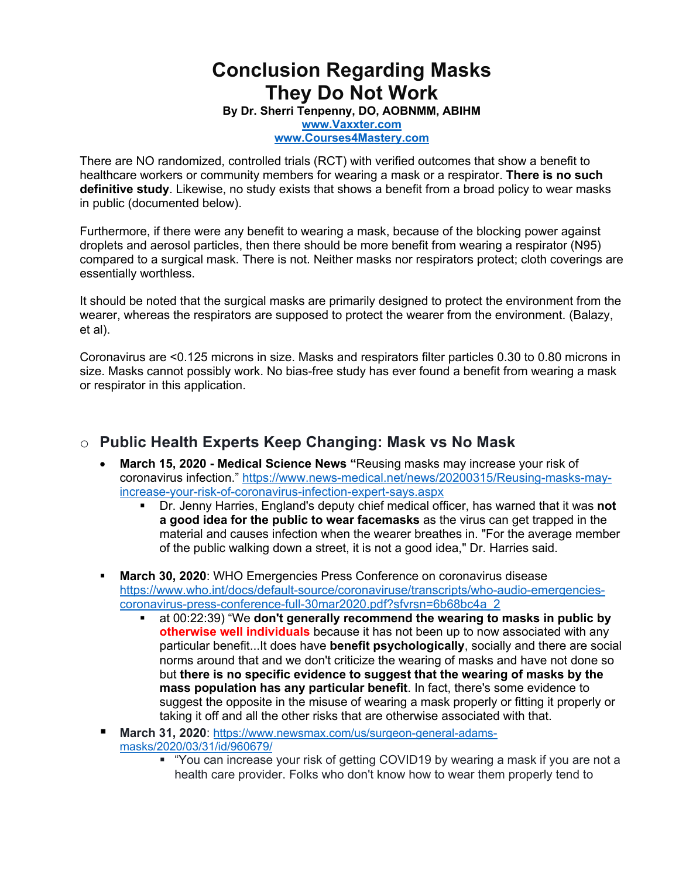# **Conclusion Regarding Masks They Do Not Work**

**By Dr. Sherri Tenpenny, DO, AOBNMM, ABIHM**

**www.Vaxxter.com www.Courses4Mastery.com**

There are NO randomized, controlled trials (RCT) with verified outcomes that show a benefit to healthcare workers or community members for wearing a mask or a respirator. **There is no such definitive study**. Likewise, no study exists that shows a benefit from a broad policy to wear masks in public (documented below).

Furthermore, if there were any benefit to wearing a mask, because of the blocking power against droplets and aerosol particles, then there should be more benefit from wearing a respirator (N95) compared to a surgical mask. There is not. Neither masks nor respirators protect; cloth coverings are essentially worthless.

It should be noted that the surgical masks are primarily designed to protect the environment from the wearer, whereas the respirators are supposed to protect the wearer from the environment. (Balazy, et al).

Coronavirus are <0.125 microns in size. Masks and respirators filter particles 0.30 to 0.80 microns in size. Masks cannot possibly work. No bias-free study has ever found a benefit from wearing a mask or respirator in this application.

# o **Public Health Experts Keep Changing: Mask vs No Mask**

- **March 15, 2020 - Medical Science News "**Reusing masks may increase your risk of coronavirus infection." https://www.news-medical.net/news/20200315/Reusing-masks-mayincrease-your-risk-of-coronavirus-infection-expert-says.aspx
	- § Dr. Jenny Harries, England's deputy chief medical officer, has warned that it was **not a good idea for the public to wear facemasks** as the virus can get trapped in the material and causes infection when the wearer breathes in. "For the average member of the public walking down a street, it is not a good idea," Dr. Harries said.
- § **March 30, 2020**: WHO Emergencies Press Conference on coronavirus disease https://www.who.int/docs/default-source/coronaviruse/transcripts/who-audio-emergenciescoronavirus-press-conference-full-30mar2020.pdf?sfvrsn=6b68bc4a\_2
	- § at 00:22:39) "We **don't generally recommend the wearing to masks in public by otherwise well individuals** because it has not been up to now associated with any particular benefit...It does have **benefit psychologically**, socially and there are social norms around that and we don't criticize the wearing of masks and have not done so but **there is no specific evidence to suggest that the wearing of masks by the mass population has any particular benefit**. In fact, there's some evidence to suggest the opposite in the misuse of wearing a mask properly or fitting it properly or taking it off and all the other risks that are otherwise associated with that.
- § **March 31, 2020**: https://www.newsmax.com/us/surgeon-general-adamsmasks/2020/03/31/id/960679/
	- § "You can increase your risk of getting COVID19 by wearing a mask if you are not a health care provider. Folks who don't know how to wear them properly tend to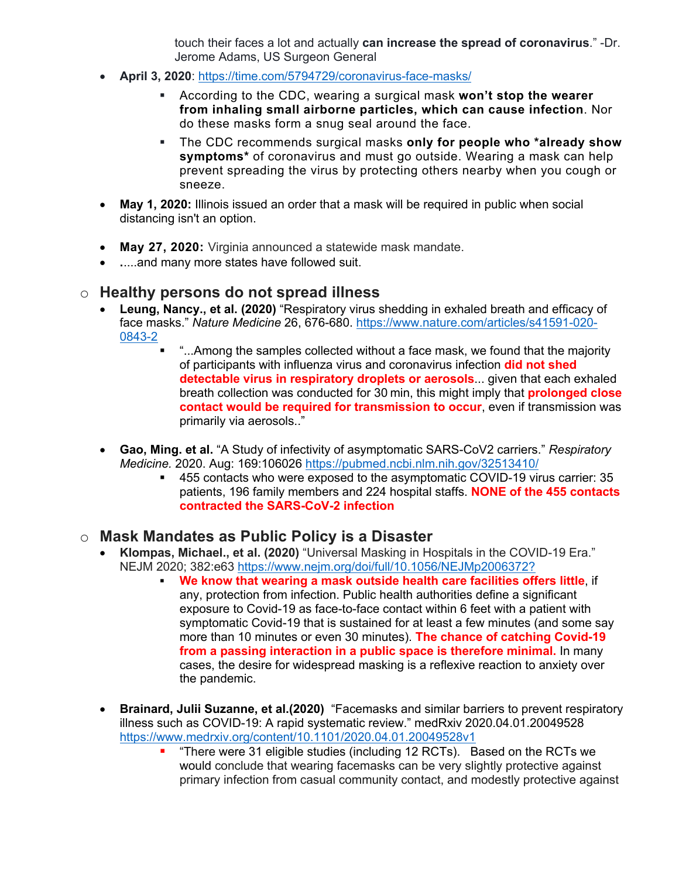touch their faces a lot and actually **can increase the spread of coronavirus**." -Dr. Jerome Adams, US Surgeon General

- **April 3, 2020**: https://time.com/5794729/coronavirus-face-masks/
	- § According to the CDC, wearing a surgical mask **won't stop the wearer from inhaling small airborne particles, which can cause infection**. Nor do these masks form a snug seal around the face.
	- § The CDC recommends surgical masks **only for people who \*already show symptoms\*** of coronavirus and must go outside. Wearing a mask can help prevent spreading the virus by protecting others nearby when you cough or sneeze.
- **May 1, 2020:** Illinois issued an order that a mask will be required in public when social distancing isn't an option.
- **May 27, 2020:** Virginia announced a statewide mask mandate.
- **.**....and many more states have followed suit.

#### o **Healthy persons do not spread illness**

- **Leung, Nancy., et al. (2020)** "Respiratory virus shedding in exhaled breath and efficacy of face masks." *Nature Medicine* 26, 676-680. https://www.nature.com/articles/s41591-020- 0843-2
	- § "...Among the samples collected without a face mask, we found that the majority of participants with influenza virus and coronavirus infection **did not shed detectable virus in respiratory droplets or aerosols**... given that each exhaled breath collection was conducted for 30 min, this might imply that **prolonged close contact would be required for transmission to occur**, even if transmission was primarily via aerosols.."
- **Gao, Ming. et al.** "A Study of infectivity of asymptomatic SARS-CoV2 carriers." *Respiratory Medicine.* 2020. Aug: 169:106026 https://pubmed.ncbi.nlm.nih.gov/32513410/
	- § 455 contacts who were exposed to the asymptomatic COVID-19 virus carrier: 35 patients, 196 family members and 224 hospital staffs. **NONE of the 455 contacts contracted the SARS-CoV-2 infection**

#### o **Mask Mandates as Public Policy is a Disaster**

- **Klompas, Michael., et al. (2020)** "Universal Masking in Hospitals in the COVID-19 Era." NEJM 2020; 382:e63 https://www.nejm.org/doi/full/10.1056/NEJMp2006372?
	- § **We know that wearing a mask outside health care facilities offers little**, if any, protection from infection. Public health authorities define a significant exposure to Covid-19 as face-to-face contact within 6 feet with a patient with symptomatic Covid-19 that is sustained for at least a few minutes (and some say more than 10 minutes or even 30 minutes). **The chance of catching Covid-19 from a passing interaction in a public space is therefore minimal.** In many cases, the desire for widespread masking is a reflexive reaction to anxiety over the pandemic.
- **Brainard, Julii Suzanne, et al.(2020)** "Facemasks and similar barriers to prevent respiratory illness such as COVID-19: A rapid systematic review." medRxiv 2020.04.01.20049528 https://www.medrxiv.org/content/10.1101/2020.04.01.20049528v1
	- § "There were 31 eligible studies (including 12 RCTs). Based on the RCTs we would conclude that wearing facemasks can be very slightly protective against primary infection from casual community contact, and modestly protective against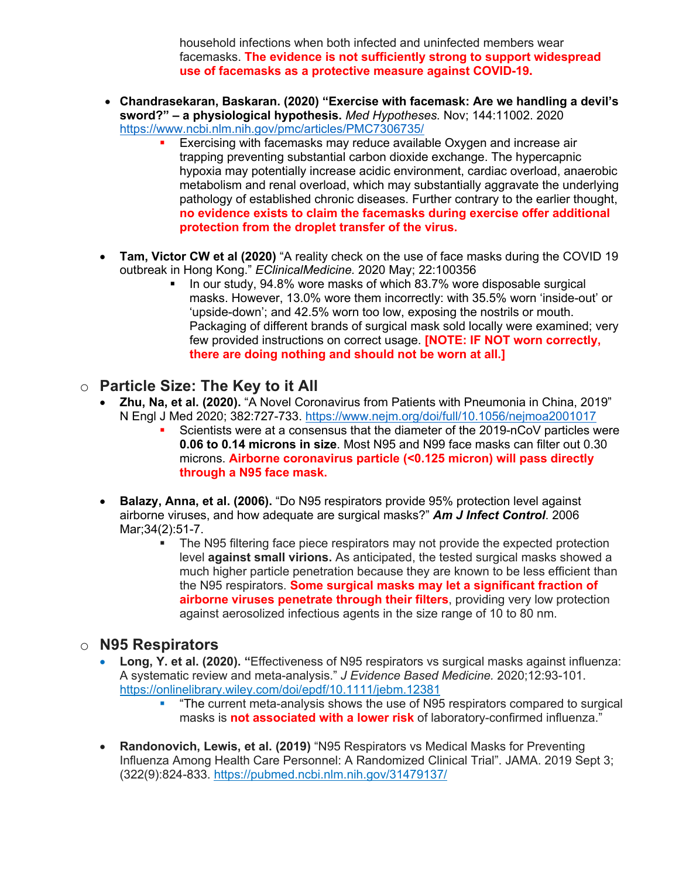household infections when both infected and uninfected members wear facemasks. **The evidence is not sufficiently strong to support widespread use of facemasks as a protective measure against COVID-19**.

- **Chandrasekaran, Baskaran. (2020) "Exercise with facemask: Are we handling a devil's sword?" – a physiological hypothesis.** *Med Hypotheses.* Nov; 144:11002. 2020 https://www.ncbi.nlm.nih.gov/pmc/articles/PMC7306735/
	- Exercising with facemasks may reduce available Oxygen and increase air trapping preventing substantial carbon dioxide exchange. The hypercapnic hypoxia may potentially increase acidic environment, cardiac overload, anaerobic metabolism and renal overload, which may substantially aggravate the underlying pathology of established chronic diseases. Further contrary to the earlier thought, **no evidence exists to claim the facemasks during exercise offer additional protection from the droplet transfer of the virus.**
- **Tam, Victor CW et al (2020)** "A reality check on the use of face masks during the COVID 19 outbreak in Hong Kong." *EClinicalMedicine.* 2020 May; 22:100356
	- § In our study, 94.8% wore masks of which 83.7% wore disposable surgical masks. However, 13.0% wore them incorrectly: with 35.5% worn 'inside-out' or 'upside-down'; and 42.5% worn too low, exposing the nostrils or mouth. Packaging of different brands of surgical mask sold locally were examined; very few provided instructions on correct usage. **[NOTE: IF NOT worn correctly, there are doing nothing and should not be worn at all.]**

#### o **Particle Size: The Key to it All**

- **Zhu, Na, et al. (2020).** "A Novel Coronavirus from Patients with Pneumonia in China, 2019" N Engl J Med 2020; 382:727-733. https://www.nejm.org/doi/full/10.1056/nejmoa2001017
	- § Scientists were at a consensus that the diameter of the 2019-nCoV particles were **0.06 to 0.14 microns in size**. Most N95 and N99 face masks can filter out 0.30 microns. **Airborne coronavirus particle (<0.125 micron) will pass directly through a N95 face mask.**
- **Balazy, Anna, et al. (2006).** "Do N95 respirators provide 95% protection level against airborne viruses, and how adequate are surgical masks?" *Am J Infect Control*. 2006 Mar;34(2):51-7.
	- The N95 filtering face piece respirators may not provide the expected protection level **against small virions.** As anticipated, the tested surgical masks showed a much higher particle penetration because they are known to be less efficient than the N95 respirators. **Some surgical masks may let a significant fraction of airborne viruses penetrate through their filters**, providing very low protection against aerosolized infectious agents in the size range of 10 to 80 nm.

#### o **N95 Respirators**

- **Long, Y. et al. (2020). "**Effectiveness of N95 respirators vs surgical masks against influenza: A systematic review and meta-analysis." *J Evidence Based Medicine.* 2020;12:93-101. https://onlinelibrary.wiley.com/doi/epdf/10.1111/jebm.12381
	- § "The current meta-analysis shows the use of N95 respirators compared to surgical masks is **not associated with a lower risk** of laboratory-confirmed influenza."
- **Randonovich, Lewis, et al. (2019)** "N95 Respirators vs Medical Masks for Preventing Influenza Among Health Care Personnel: A Randomized Clinical Trial". JAMA. 2019 Sept 3; (322(9):824-833. https://pubmed.ncbi.nlm.nih.gov/31479137/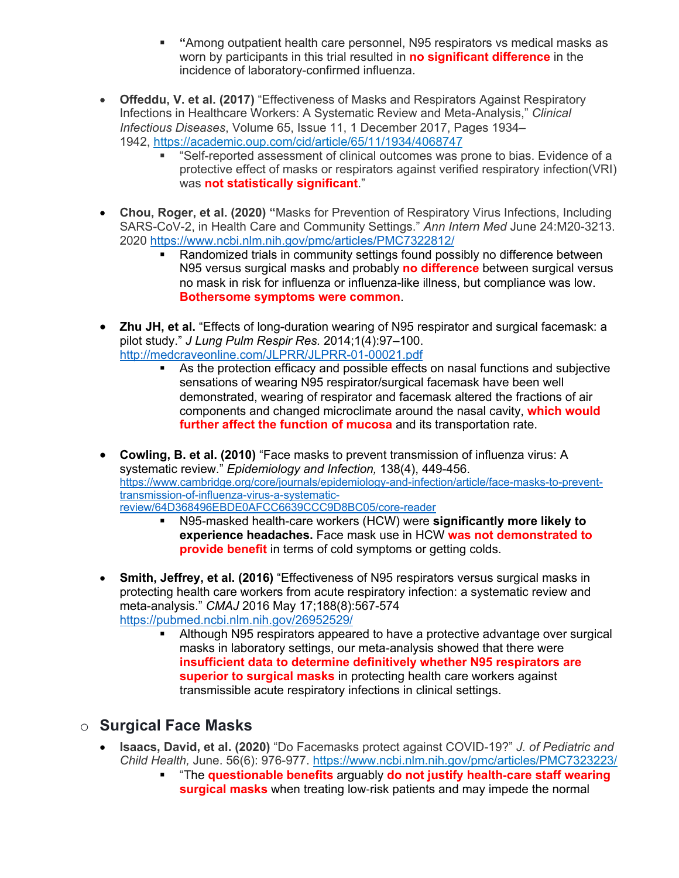- § **"**Among outpatient health care personnel, N95 respirators vs medical masks as worn by participants in this trial resulted in **no significant difference** in the incidence of laboratory-confirmed influenza.
- **Offeddu, V. et al. (2017)** "Effectiveness of Masks and Respirators Against Respiratory Infections in Healthcare Workers: A Systematic Review and Meta-Analysis," *Clinical Infectious Diseases*, Volume 65, Issue 11, 1 December 2017, Pages 1934– 1942, https://academic.oup.com/cid/article/65/11/1934/4068747
	- "Self-reported assessment of clinical outcomes was prone to bias. Evidence of a protective effect of masks or respirators against verified respiratory infection(VRI) was **not statistically significant**."
- **Chou, Roger, et al. (2020) "**Masks for Prevention of Respiratory Virus Infections, Including SARS-CoV-2, in Health Care and Community Settings." *Ann Intern Med* June 24:M20-3213. 2020 https://www.ncbi.nlm.nih.gov/pmc/articles/PMC7322812/
	- § Randomized trials in community settings found possibly no difference between N95 versus surgical masks and probably **no difference** between surgical versus no mask in risk for influenza or influenza-like illness, but compliance was low. **Bothersome symptoms were common**.
- **Zhu JH, et al.** "Effects of long-duration wearing of N95 respirator and surgical facemask: a pilot study." *J Lung Pulm Respir Res.* 2014;1(4):97-100. http://medcraveonline.com/JLPRR/JLPRR-01-00021.pdf
	- As the protection efficacy and possible effects on nasal functions and subjective sensations of wearing N95 respirator/surgical facemask have been well demonstrated, wearing of respirator and facemask altered the fractions of air components and changed microclimate around the nasal cavity, **which would further affect the function of mucosa** and its transportation rate.
- **Cowling, B. et al. (2010)** "Face masks to prevent transmission of influenza virus: A systematic review." *Epidemiology and Infection,* 138(4), 449-456. https://www.cambridge.org/core/journals/epidemiology-and-infection/article/face-masks-to-preventtransmission-of-influenza-virus-a-systematicreview/64D368496EBDE0AFCC6639CCC9D8BC05/core-reader
	- § N95-masked health-care workers (HCW) were **significantly more likely to experience headaches.** Face mask use in HCW **was not demonstrated to provide benefit** in terms of cold symptoms or getting colds.
- **Smith, Jeffrey, et al. (2016)** "Effectiveness of N95 respirators versus surgical masks in protecting health care workers from acute respiratory infection: a systematic review and meta-analysis." *CMAJ* 2016 May 17;188(8):567-574 https://pubmed.ncbi.nlm.nih.gov/26952529/
	- Although N95 respirators appeared to have a protective advantage over surgical masks in laboratory settings, our meta-analysis showed that there were **insufficient data to determine definitively whether N95 respirators are superior to surgical masks** in protecting health care workers against transmissible acute respiratory infections in clinical settings.

# o **Surgical Face Masks**

- **Isaacs, David, et al. (2020)** "Do Facemasks protect against COVID-19?" *J. of Pediatric and Child Health,* June. 56(6): 976-977. https://www.ncbi.nlm.nih.gov/pmc/articles/PMC7323223/
	- § "The **questionable benefits** arguably **do not justify health**-**care staff wearing surgical masks** when treating low-risk patients and may impede the normal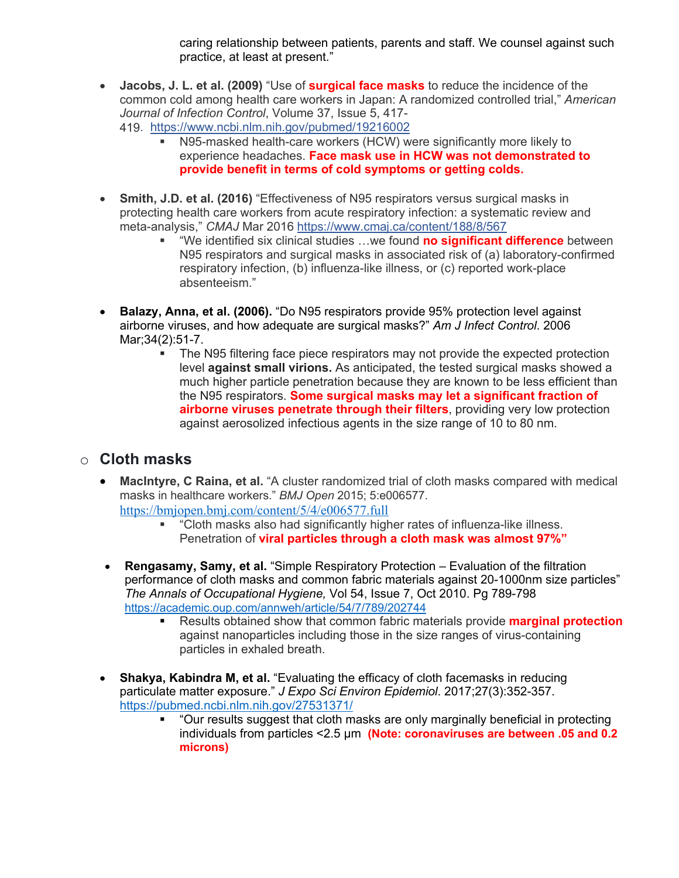caring relationship between patients, parents and staff. We counsel against such practice, at least at present."

- **Jacobs, J. L. et al. (2009)** "Use of **surgical face masks** to reduce the incidence of the common cold among health care workers in Japan: A randomized controlled trial," *American Journal of Infection Control*, Volume 37, Issue 5, 417- 419. https://www.ncbi.nlm.nih.gov/pubmed/19216002
	- § N95-masked health-care workers (HCW) were significantly more likely to experience headaches. **Face mask use in HCW was not demonstrated to provide benefit in terms of cold symptoms or getting colds.**
- **Smith, J.D. et al. (2016)** "Effectiveness of N95 respirators versus surgical masks in protecting health care workers from acute respiratory infection: a systematic review and meta-analysis," *CMAJ* Mar 2016 https://www.cmaj.ca/content/188/8/567
	- § "We identified six clinical studies …we found **no significant difference** between N95 respirators and surgical masks in associated risk of (a) laboratory-confirmed respiratory infection, (b) influenza-like illness, or (c) reported work-place absenteeism."
- **Balazy, Anna, et al. (2006).** "Do N95 respirators provide 95% protection level against airborne viruses, and how adequate are surgical masks?" *Am J Infect Control*. 2006 Mar;34(2):51-7.
	- The N95 filtering face piece respirators may not provide the expected protection level **against small virions.** As anticipated, the tested surgical masks showed a much higher particle penetration because they are known to be less efficient than the N95 respirators. **Some surgical masks may let a significant fraction of airborne viruses penetrate through their filters**, providing very low protection against aerosolized infectious agents in the size range of 10 to 80 nm.

# o **Cloth masks**

- **MacIntyre, C Raina, et al.** "A cluster randomized trial of cloth masks compared with medical masks in healthcare workers." *BMJ Open* 2015; 5:e006577. https://bmjopen.bmj.com/content/5/4/e006577.full
	- § "Cloth masks also had significantly higher rates of influenza-like illness. Penetration of **viral particles through a cloth mask was almost 97%"**
- **Rengasamy, Samy, et al.** "Simple Respiratory Protection Evaluation of the filtration performance of cloth masks and common fabric materials against 20-1000nm size particles" *The Annals of Occupational Hygiene,* Vol 54, Issue 7, Oct 2010. Pg 789-798 https://academic.oup.com/annweh/article/54/7/789/202744
	- § Results obtained show that common fabric materials provide **marginal protection** against nanoparticles including those in the size ranges of virus-containing particles in exhaled breath.
- **Shakya, Kabindra M, et al.** "Evaluating the efficacy of cloth facemasks in reducing particulate matter exposure." *J Expo Sci Environ Epidemiol*. 2017;27(3):352-357. https://pubmed.ncbi.nlm.nih.gov/27531371/
	- § "Our results suggest that cloth masks are only marginally beneficial in protecting individuals from particles <2.5 μm **(Note: coronaviruses are between .05 and 0.2 microns)**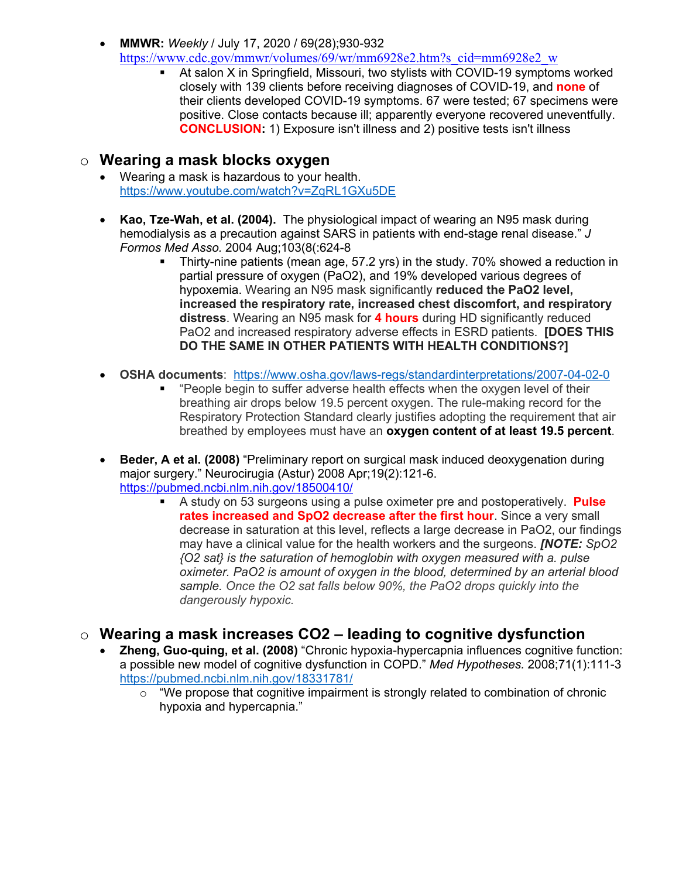- **MMWR:** *Weekly* / July 17, 2020 / 69(28);930-932 https://www.cdc.gov/mmwr/volumes/69/wr/mm6928e2.htm?s\_cid=mm6928e2\_w
	- At salon X in Springfield, Missouri, two stylists with COVID-19 symptoms worked closely with 139 clients before receiving diagnoses of COVID-19, and **none** of their clients developed COVID-19 symptoms. 67 were tested; 67 specimens were positive. Close contacts because ill; apparently everyone recovered uneventfully. **CONCLUSION:** 1) Exposure isn't illness and 2) positive tests isn't illness

### o **Wearing a mask blocks oxygen**

- Wearing a mask is hazardous to your health. https://www.youtube.com/watch?v=ZqRL1GXu5DE
- **Kao, Tze-Wah, et al. (2004).** The physiological impact of wearing an N95 mask during hemodialysis as a precaution against SARS in patients with end-stage renal disease." *J Formos Med Asso.* 2004 Aug;103(8(:624-8
	- § Thirty-nine patients (mean age, 57.2 yrs) in the study. 70% showed a reduction in partial pressure of oxygen (PaO2), and 19% developed various degrees of hypoxemia. Wearing an N95 mask significantly **reduced the PaO2 level, increased the respiratory rate, increased chest discomfort, and respiratory distress**. Wearing an N95 mask for **4 hours** during HD significantly reduced PaO2 and increased respiratory adverse effects in ESRD patients. **[DOES THIS DO THE SAME IN OTHER PATIENTS WITH HEALTH CONDITIONS?]**
- **OSHA documents**: https://www.osha.gov/laws-regs/standardinterpretations/2007-04-02-0
	- § "People begin to suffer adverse health effects when the oxygen level of their breathing air drops below 19.5 percent oxygen. The rule-making record for the Respiratory Protection Standard clearly justifies adopting the requirement that air breathed by employees must have an **oxygen content of at least 19.5 percent**.
- **Beder, A et al. (2008)** "Preliminary report on surgical mask induced deoxygenation during major surgery." Neurocirugia (Astur) 2008 Apr;19(2):121-6. https://pubmed.ncbi.nlm.nih.gov/18500410/
	- § A study on 53 surgeons using a pulse oximeter pre and postoperatively. **Pulse rates increased and SpO2 decrease after the first hour**. Since a very small decrease in saturation at this level, reflects a large decrease in PaO2, our findings may have a clinical value for the health workers and the surgeons. *[NOTE: SpO2 {O2 sat} is the saturation of hemoglobin with oxygen measured with a. pulse oximeter. PaO2 is amount of oxygen in the blood, determined by an arterial blood sample. Once the O2 sat falls below 90%, the PaO2 drops quickly into the dangerously hypoxic.*

# o **Wearing a mask increases CO2 – leading to cognitive dysfunction**

- **Zheng, Guo-quing, et al. (2008)** "Chronic hypoxia-hypercapnia influences cognitive function: a possible new model of cognitive dysfunction in COPD." *Med Hypotheses.* 2008;71(1):111-3 https://pubmed.ncbi.nlm.nih.gov/18331781/
	- o "We propose that cognitive impairment is strongly related to combination of chronic hypoxia and hypercapnia."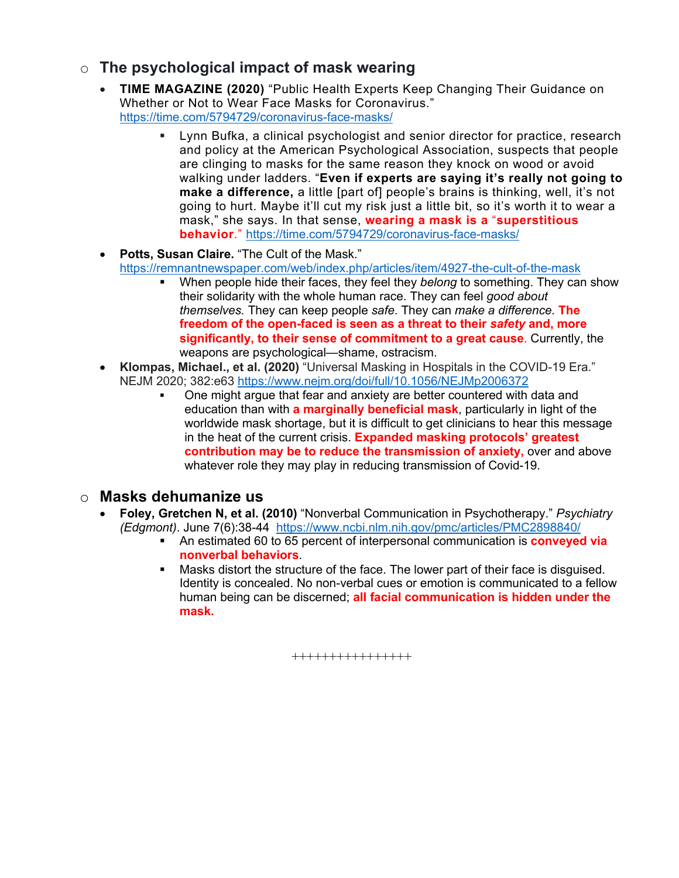# o **The psychological impact of mask wearing**

- **TIME MAGAZINE (2020)** "Public Health Experts Keep Changing Their Guidance on Whether or Not to Wear Face Masks for Coronavirus." https://time.com/5794729/coronavirus-face-masks/
	- § Lynn Bufka, a clinical psychologist and senior director for practice, research and policy at the American Psychological Association, suspects that people are clinging to masks for the same reason they knock on wood or avoid walking under ladders. "**Even if experts are saying it's really not going to make a difference,** a little [part of] people's brains is thinking, well, it's not going to hurt. Maybe it'll cut my risk just a little bit, so it's worth it to wear a mask," she says. In that sense, **wearing a mask is a** "**superstitious behavior**." https://time.com/5794729/coronavirus-face-masks/
- **Potts, Susan Claire.** "The Cult of the Mask." https://remnantnewspaper.com/web/index.php/articles/item/4927-the-cult-of-the-mask
	- § When people hide their faces, they feel they *belong* to something. They can show their solidarity with the whole human race. They can feel *good about themselves.* They can keep people *safe*. They can *make a difference.* **The freedom of the open-faced is seen as a threat to their** *safety* **and, more significantly, to their sense of commitment to a great cause**. Currently, the weapons are psychological—shame, ostracism.
- **Klompas, Michael., et al. (2020)** "Universal Masking in Hospitals in the COVID-19 Era." NEJM 2020; 382:e63 https://www.nejm.org/doi/full/10.1056/NEJMp2006372
	- § One might argue that fear and anxiety are better countered with data and education than with **a marginally beneficial mask**, particularly in light of the worldwide mask shortage, but it is difficult to get clinicians to hear this message in the heat of the current crisis. **Expanded masking protocols' greatest contribution may be to reduce the transmission of anxiety,** over and above whatever role they may play in reducing transmission of Covid-19.

#### o **Masks dehumanize us**

- **Foley, Gretchen N, et al. (2010)** "Nonverbal Communication in Psychotherapy." *Psychiatry (Edgmont)*. June 7(6):38-44 https://www.ncbi.nlm.nih.gov/pmc/articles/PMC2898840/
	- § An estimated 60 to 65 percent of interpersonal communication is **conveyed via nonverbal behaviors**.
	- **Masks distort the structure of the face. The lower part of their face is disguised.** Identity is concealed. No non-verbal cues or emotion is communicated to a fellow human being can be discerned; **all facial communication is hidden under the mask.**

++++++++++++++++